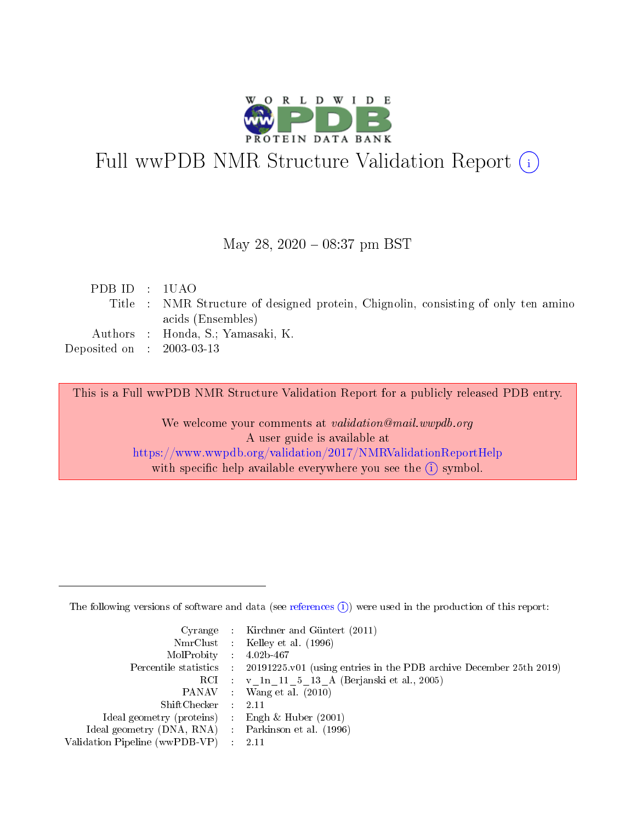

# Full wwPDB NMR Structure Validation Report (i)

#### May 28, 2020 - 08:37 pm BST

| PDBID : 1UAO                |                                                                                    |
|-----------------------------|------------------------------------------------------------------------------------|
|                             | Title : NMR Structure of designed protein, Chignolin, consisting of only ten amino |
|                             | acids (Ensembles)                                                                  |
|                             | Authors : Honda, S.; Yamasaki, K.                                                  |
| Deposited on : $2003-03-13$ |                                                                                    |
|                             |                                                                                    |

This is a Full wwPDB NMR Structure Validation Report for a publicly released PDB entry.

We welcome your comments at validation@mail.wwpdb.org A user guide is available at <https://www.wwpdb.org/validation/2017/NMRValidationReportHelp> with specific help available everywhere you see the  $(i)$  symbol.

The following versions of software and data (see [references](https://www.wwpdb.org/validation/2017/NMRValidationReportHelp#references)  $(1)$ ) were used in the production of this report:

|                                                    | Cyrange : Kirchner and Güntert $(2011)$                                                    |
|----------------------------------------------------|--------------------------------------------------------------------------------------------|
|                                                    | NmrClust : Kelley et al. (1996)                                                            |
| $MolProbability$ 4.02b-467                         |                                                                                            |
|                                                    | Percentile statistics : 20191225.v01 (using entries in the PDB archive December 25th 2019) |
|                                                    | RCI : v 1n 11 5 13 A (Berjanski et al., 2005)                                              |
|                                                    | PANAV Wang et al. (2010)                                                                   |
| $ShiftChecker$ : 2.11                              |                                                                                            |
| Ideal geometry (proteins) : Engh $\&$ Huber (2001) |                                                                                            |
| Ideal geometry (DNA, RNA) Parkinson et al. (1996)  |                                                                                            |
| Validation Pipeline (wwPDB-VP)                     | 2.11                                                                                       |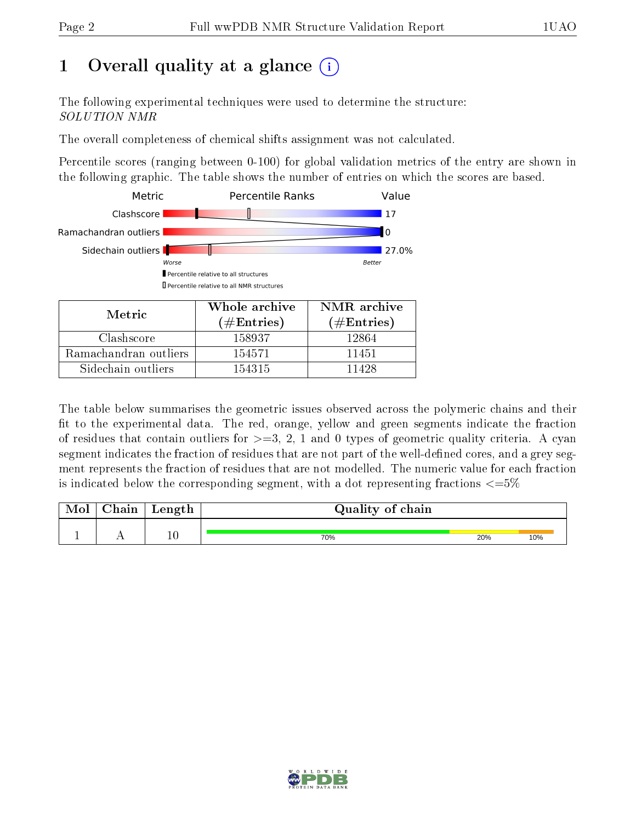## 1 [O](https://www.wwpdb.org/validation/2017/NMRValidationReportHelp#overall_quality)verall quality at a glance (i)

The following experimental techniques were used to determine the structure: SOLUTION NMR

The overall completeness of chemical shifts assignment was not calculated.

Percentile scores (ranging between 0-100) for global validation metrics of the entry are shown in the following graphic. The table shows the number of entries on which the scores are based.



The table below summarises the geometric issues observed across the polymeric chains and their fit to the experimental data. The red, orange, yellow and green segments indicate the fraction of residues that contain outliers for  $>=3, 2, 1$  and 0 types of geometric quality criteria. A cyan segment indicates the fraction of residues that are not part of the well-defined cores, and a grey segment represents the fraction of residues that are not modelled. The numeric value for each fraction is indicated below the corresponding segment, with a dot representing fractions  $\epsilon = 5\%$ 

| Mol | Chain | Length | Quality of chain |     |     |
|-----|-------|--------|------------------|-----|-----|
|     |       |        |                  |     |     |
|     |       | 10     | 70%              | 20% | 10% |

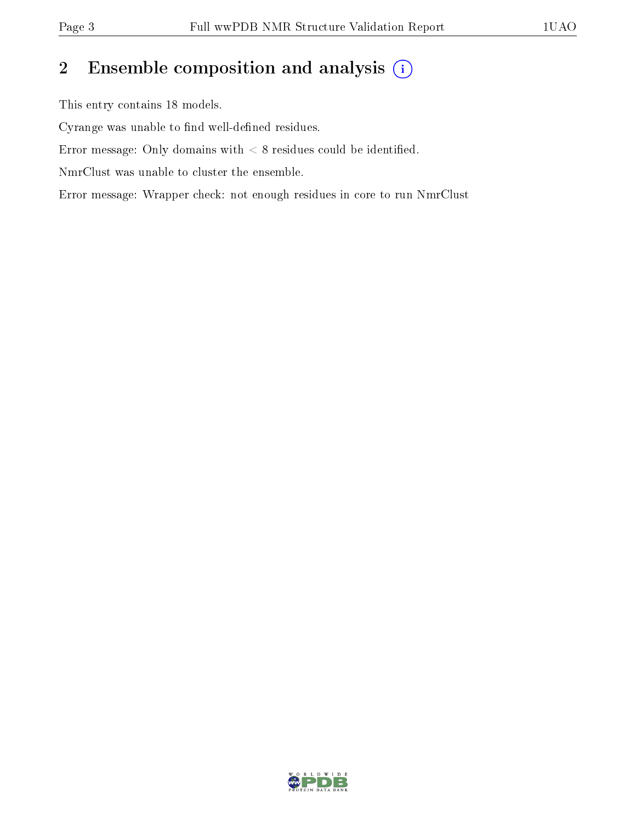## 2 Ensemble composition and analysis  $(i)$

This entry contains 18 models.

Cyrange was unable to find well-defined residues.

Error message: Only domains with  $< 8$  residues could be identified.

NmrClust was unable to cluster the ensemble.

Error message: Wrapper check: not enough residues in core to run NmrClust

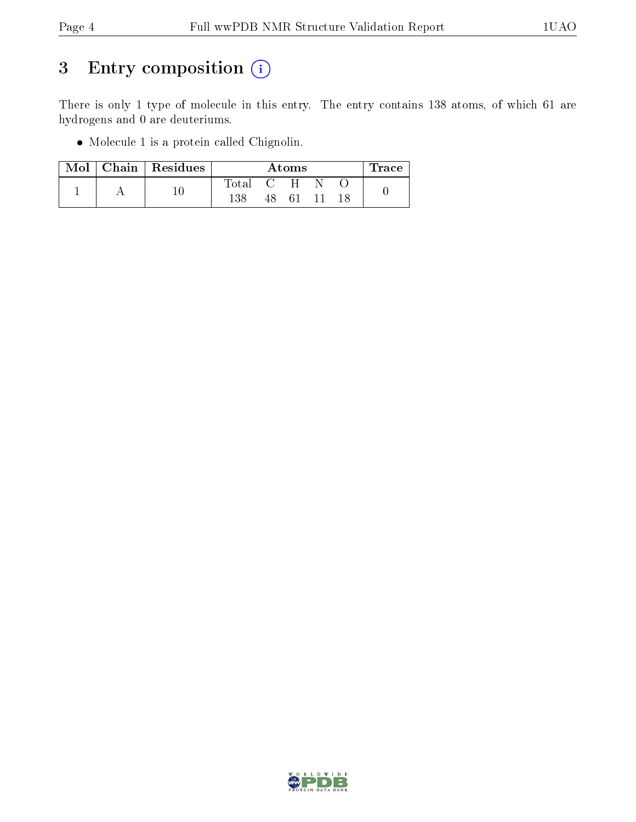## 3 Entry composition (i)

There is only 1 type of molecule in this entry. The entry contains 138 atoms, of which 61 are hydrogens and 0 are deuteriums.

Molecule 1 is a protein called Chignolin.

|  | Mol   Chain   Residues | Atoms     |  |          | Trace |  |
|--|------------------------|-----------|--|----------|-------|--|
|  |                        | Total C H |  |          |       |  |
|  |                        | 138       |  | 48 61 11 |       |  |

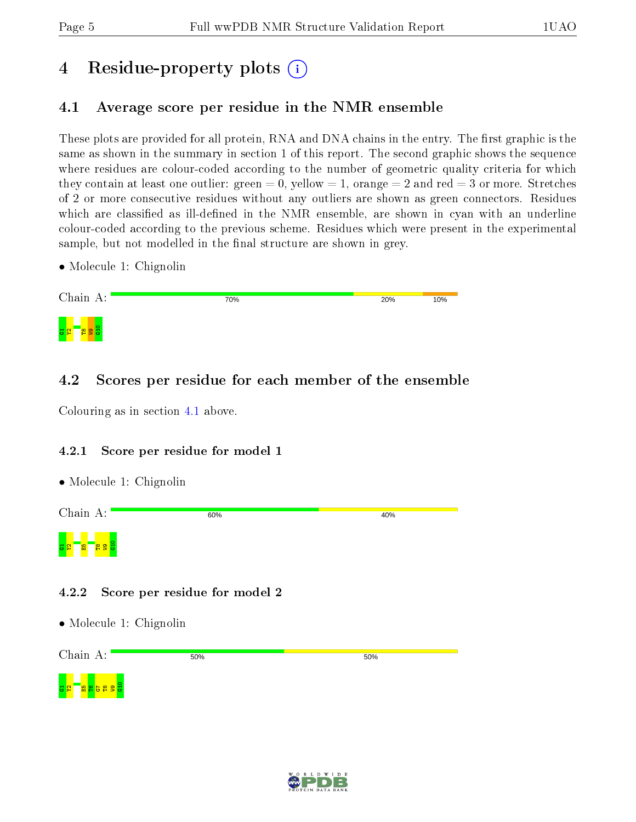## 4 Residue-property plots  $\binom{1}{1}$

## <span id="page-4-0"></span>4.1 Average score per residue in the NMR ensemble

These plots are provided for all protein, RNA and DNA chains in the entry. The first graphic is the same as shown in the summary in section 1 of this report. The second graphic shows the sequence where residues are colour-coded according to the number of geometric quality criteria for which they contain at least one outlier: green  $= 0$ , yellow  $= 1$ , orange  $= 2$  and red  $= 3$  or more. Stretches of 2 or more consecutive residues without any outliers are shown as green connectors. Residues which are classified as ill-defined in the NMR ensemble, are shown in cyan with an underline colour-coded according to the previous scheme. Residues which were present in the experimental sample, but not modelled in the final structure are shown in grey.

• Molecule 1: Chignolin

| Chain A:      | 70% | 20% | 10% |
|---------------|-----|-----|-----|
| <b>C</b><br>c |     |     |     |

### 4.2 Scores per residue for each member of the ensemble

Colouring as in section [4.1](#page-4-0) above.

#### 4.2.1 Score per residue for model 1

• Molecule 1: Chignolin



#### 4.2.2 Score per residue for model 2

• Molecule 1: Chignolin

Chain A: 50% 50% G10G1Y2E5T6G7T8  $\overline{\mathbf{e}}$  .

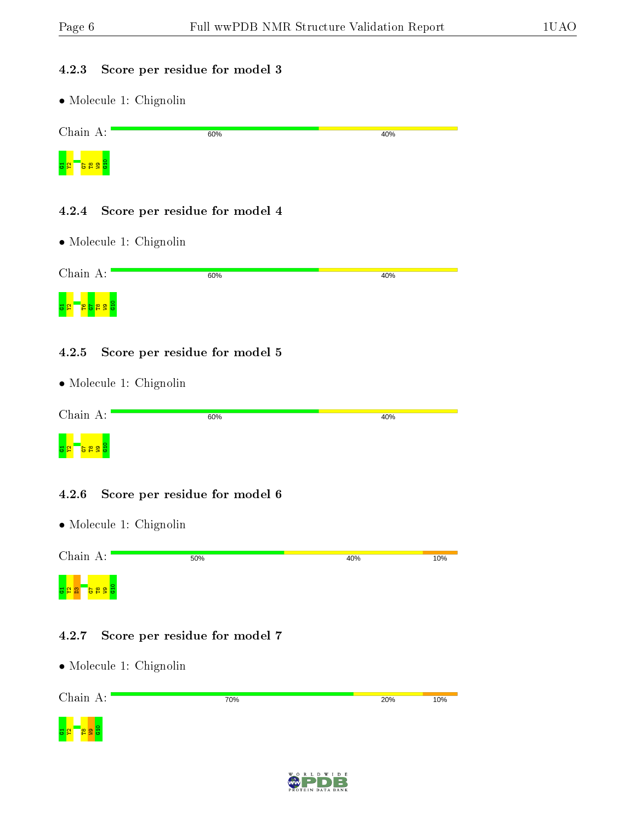#### 4.2.3 Score per residue for model 3

• Molecule 1: Chignolin

| Chain A:                               | 60% | 40% |
|----------------------------------------|-----|-----|
| 요.<br>음울역<br>H                         |     |     |
|                                        |     |     |
| Score per residue for model 4<br>4.2.4 |     |     |
| $\bullet$ Molecule 1: Chignolin        |     |     |
| Chain A:                               | 60% | 40% |
| <mark>의 업</mark> 급<br>曾<br>A<br>륣      |     |     |

#### 4.2.5 Score per residue for model 5

• Molecule 1: Chignolin

| Chain A:                               | 60% | 40% |
|----------------------------------------|-----|-----|
| $\overline{M}$<br>FS<br>ಀ<br><b>CO</b> |     |     |

#### 4.2.6 Score per residue for model 6

• Molecule 1: Chignolin



#### 4.2.7 Score per residue for model 7



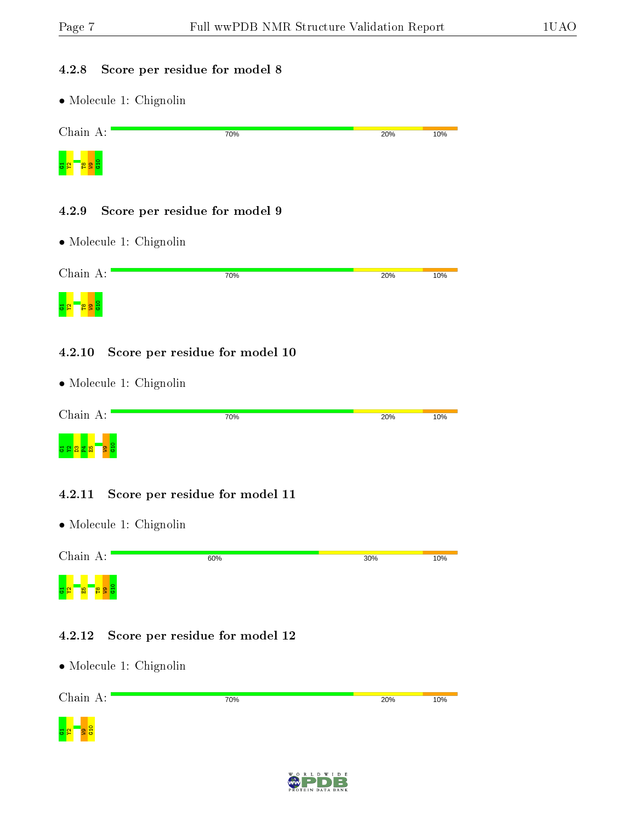#### 4.2.8 Score per residue for model 8

• Molecule 1: Chignolin

| Chain A: | 70% | 20% | 10% |
|----------|-----|-----|-----|
| g.       |     |     |     |

#### 4.2.9 Score per residue for model 9

• Molecule 1: Chignolin

| Chain A:    | 70% | 20% | 10% |
|-------------|-----|-----|-----|
| 허<br>œ<br>œ |     |     |     |

#### 4.2.10 Score per residue for model 10

• Molecule 1: Chignolin

| Chain A: | 70% | 20% | 10% |
|----------|-----|-----|-----|
| ÷<br>ಲ   |     |     |     |

#### 4.2.11 Score per residue for model 11

• Molecule 1: Chignolin



#### 4.2.12 Score per residue for model 12



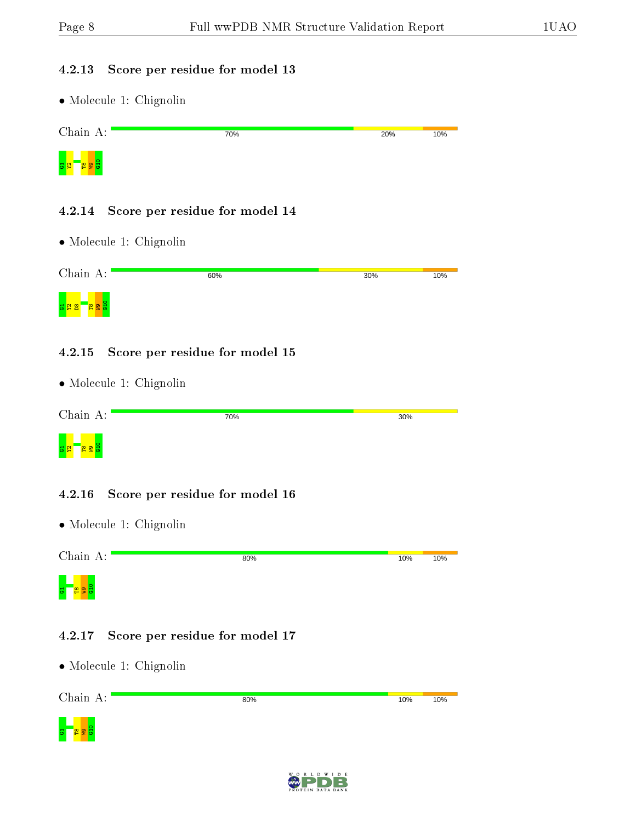#### 4.2.13 Score per residue for model 13

• Molecule 1: Chignolin



#### 4.2.14 Score per residue for model 14

• Molecule 1: Chignolin

| Chain A:  | 60% | 30% | 10% |
|-----------|-----|-----|-----|
| <u>ដន</u> |     |     |     |

#### 4.2.15 Score per residue for model 15

• Molecule 1: Chignolin

| Chain A:                  | 70% | 30% |
|---------------------------|-----|-----|
| <mark>등의</mark><br>э<br>œ |     |     |

#### 4.2.16 Score per residue for model 16

• Molecule 1: Chignolin



#### 4.2.17 Score per residue for model 17



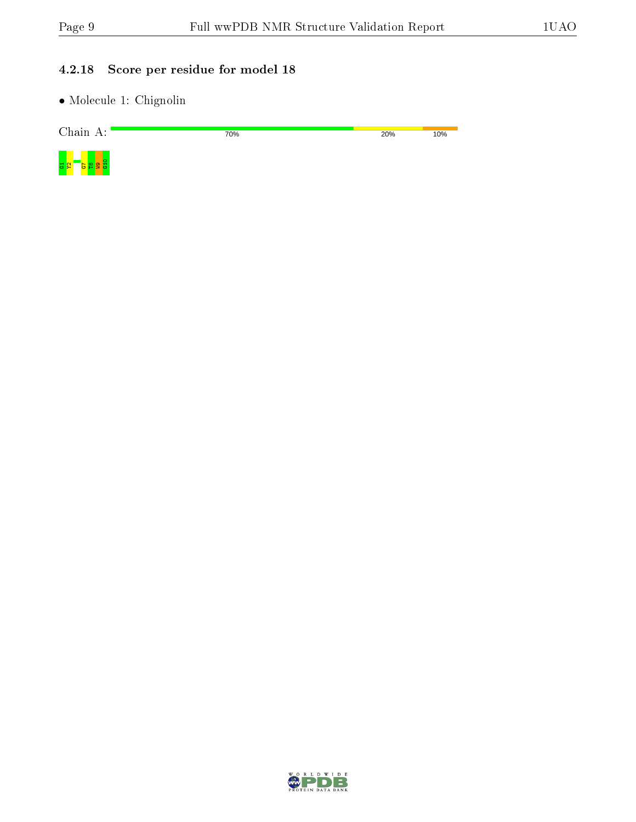#### 4.2.18 Score per residue for model 18

| Chain A: | 70% | 20% | 10% |
|----------|-----|-----|-----|
|          |     |     |     |

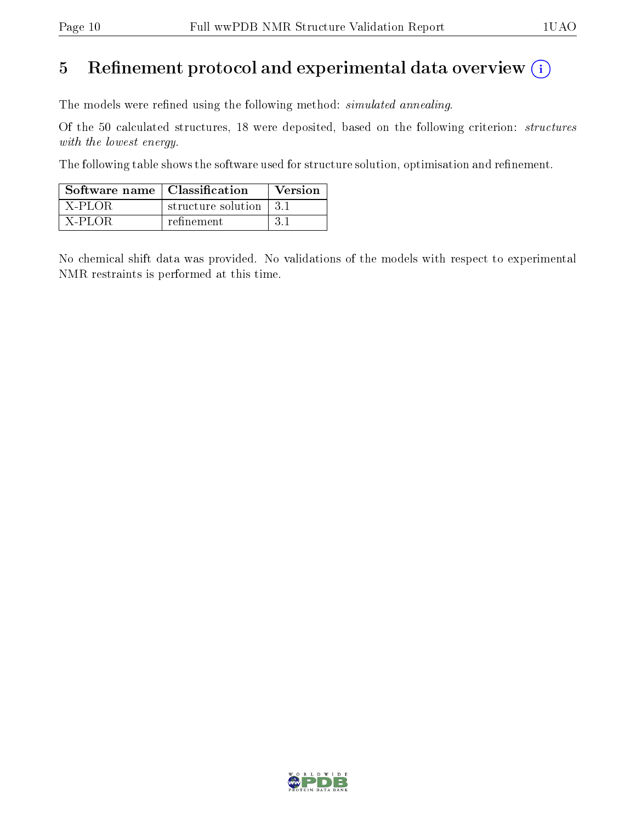## 5 Refinement protocol and experimental data overview  $(i)$

The models were refined using the following method: *simulated annealing*.

Of the 50 calculated structures, 18 were deposited, based on the following criterion: structures with the lowest energy.

The following table shows the software used for structure solution, optimisation and refinement.

| Software name   Classification |                         | Version |
|--------------------------------|-------------------------|---------|
| X-PLOR                         | structure solution 13.1 |         |
| $X-PLO\bar{R}$                 | refinement              | -3-1    |

No chemical shift data was provided. No validations of the models with respect to experimental NMR restraints is performed at this time.

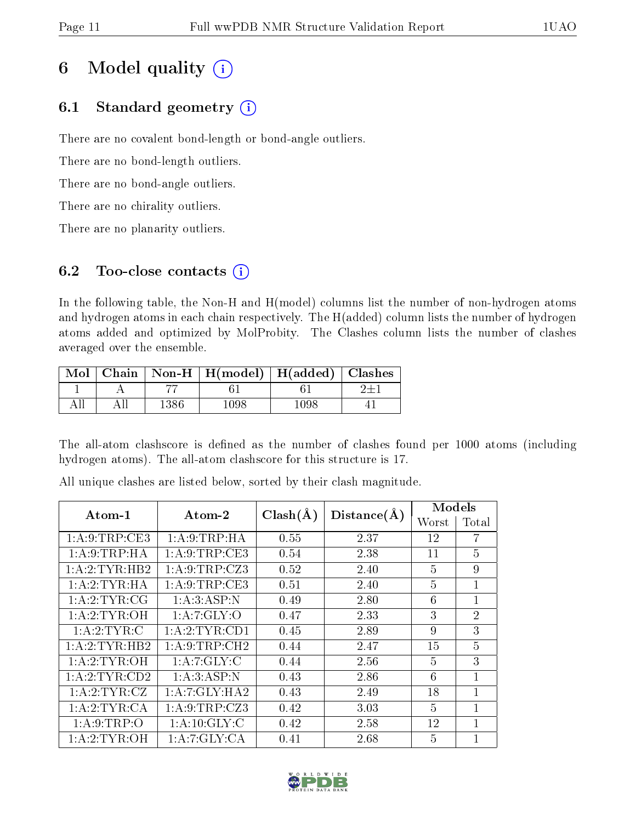## 6 Model quality  $(i)$

## 6.1 Standard geometry  $(i)$

There are no covalent bond-length or bond-angle outliers.

There are no bond-length outliers.

There are no bond-angle outliers.

There are no chirality outliers.

There are no planarity outliers.

## 6.2 Too-close contacts  $(i)$

In the following table, the Non-H and H(model) columns list the number of non-hydrogen atoms and hydrogen atoms in each chain respectively. The H(added) column lists the number of hydrogen atoms added and optimized by MolProbity. The Clashes column lists the number of clashes averaged over the ensemble.

|  | Mol   Chain   Non-H   H(model)   H(added)   Clashes |      |  |
|--|-----------------------------------------------------|------|--|
|  |                                                     |      |  |
|  |                                                     | 1198 |  |

The all-atom clashscore is defined as the number of clashes found per 1000 atoms (including hydrogen atoms). The all-atom clashscore for this structure is 17.

| Atom-1           | $\boldsymbol{\mathrm{Atom}\text{-}2}$ | $Clash(\AA)$ | Distance(A) | Models |                |
|------------------|---------------------------------------|--------------|-------------|--------|----------------|
|                  |                                       |              |             | Worst  | Total          |
| 1: A:9: TRP:CE3  | 1: A:9:TRP:HA                         | 0.55         | 2.37        | 12     | 7              |
| 1: A:9:TRP:HA    | 1: A:9:TRP:CE3                        | 0.54         | 2.38        | 11     | $\overline{5}$ |
| 1: A:2:TYR:HB2   | 1: A: 9: TRP: CZ3                     | 0.52         | 2.40        | 5      | 9              |
| 1: A:2:TYR:HA    | 1: A:9:TRP:CE3                        | 0.51         | 2.40        | 5      | 1              |
| 1: A: 2: TYR: CG | 1:A:3:ASP:N                           | 0.49         | 2.80        | 6      | 1              |
| 1: A:2: TYR:OH   | 1:A:7:GLY:O                           | 0.47         | 2.33        | 3      | $\overline{2}$ |
| 1: A:2:TYR:C     | 1:A:2:TYR:CD1                         | 0.45         | 2.89        | 9      | 3              |
| 1:A:2:TYR:HB2    | 1: A:9:TRP:CH2                        | 0.44         | 2.47        | 15     | $\overline{5}$ |
| 1: A:2: TYR:OH   | 1:A:7:GLY:C                           | 0.44         | 2.56        | 5      | 3              |
| 1: A:2:TYR:CD2   | 1:A:3:ASP:N                           | 0.43         | 2.86        | 6      | 1              |
| 1: A: 2: TYR: CZ | 1:A:7:GLY:HA2                         | 0.43         | 2.49        | 18     | 1              |
| 1: A: 2: TYR: CA | 1: A:9:TRP: CZ3                       | 0.42         | 3.03        | 5      | 1              |
| 1: A:9:TRP:O     | 1: A:10: GLY: C                       | 0.42         | 2.58        | 12     | 1              |
| 1:A:2:TYR:OH     | 1:A:7:GLY:CA                          | 0.41         | 2.68        | 5      | 1              |

All unique clashes are listed below, sorted by their clash magnitude.

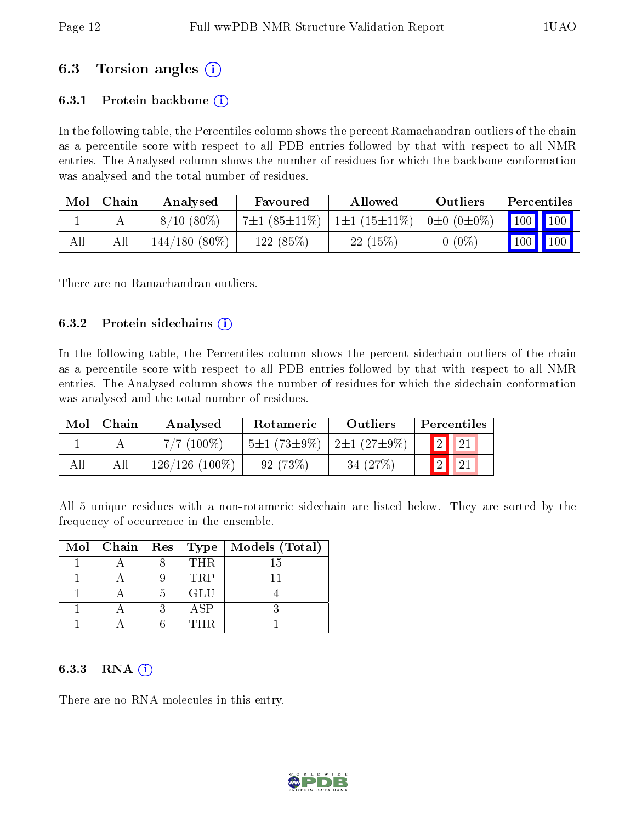## 6.3 Torsion angles (i)

#### 6.3.1 Protein backbone  $(i)$

In the following table, the Percentiles column shows the percent Ramachandran outliers of the chain as a percentile score with respect to all PDB entries followed by that with respect to all NMR entries. The Analysed column shows the number of residues for which the backbone conformation was analysed and the total number of residues.

| Mol | Chain | Analysed        | Favoured           | Allowed                                          | Outliers | Percentiles                  |  |
|-----|-------|-----------------|--------------------|--------------------------------------------------|----------|------------------------------|--|
|     |       | $8/10(80\%)$    | $7\pm1(85\pm11\%)$ | $1\pm1$ (15 $\pm11\%$ )   0 $\pm0$ (0 $\pm0\%$ ) |          |                              |  |
| All |       | $144/180(80\%)$ | 122 (85%)          | 22(15%)                                          | $(0\%)$  | $\mid$ 100 $\mid$ 100 $\mid$ |  |

There are no Ramachandran outliers.

#### 6.3.2 Protein sidechains  $\hat{I}$

In the following table, the Percentiles column shows the percent sidechain outliers of the chain as a percentile score with respect to all PDB entries followed by that with respect to all NMR entries. The Analysed column shows the number of residues for which the sidechain conformation was analysed and the total number of residues.

| Mol | Chain | Analysed         | Rotameric         | Outliers               | Percentiles            |
|-----|-------|------------------|-------------------|------------------------|------------------------|
|     |       | $7/7(100\%)$     | $5\pm1(73\pm9\%)$ | $2\pm1$ (27 $\pm9\%$ ) | $\sqrt{2}$ $\sqrt{21}$ |
| All | All   | $126/126(100\%)$ | 92(73%)           | 34 $(27%)$             |                        |

All 5 unique residues with a non-rotameric sidechain are listed below. They are sorted by the frequency of occurrence in the ensemble.

| Mol   Chain   Res |    | Type       | Models (Total) |
|-------------------|----|------------|----------------|
|                   |    | THR.       | 15             |
|                   |    | <b>TRP</b> |                |
|                   | h. | GLU        |                |
|                   | 2  | ASP        |                |
|                   |    | THR        |                |

#### 6.3.3 RNA  $(i)$

There are no RNA molecules in this entry.

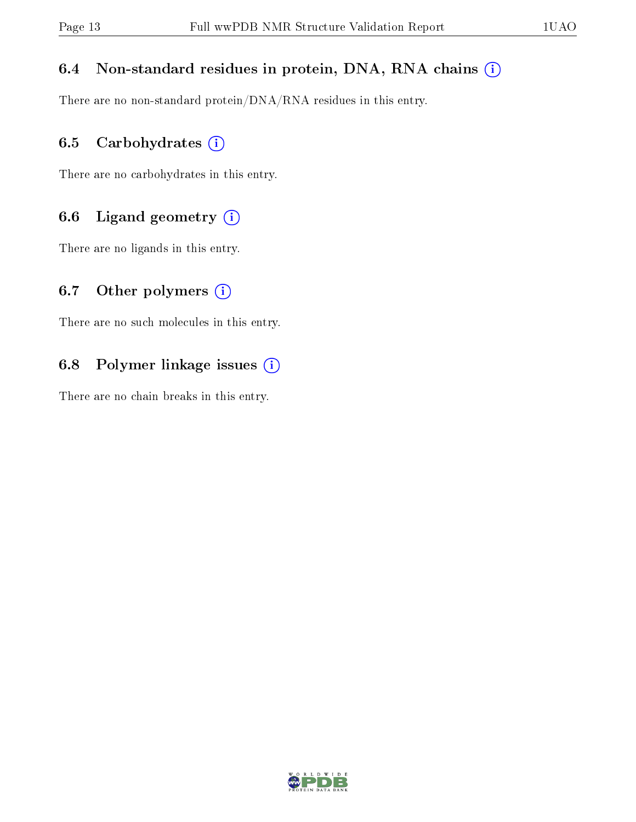### 6.4 Non-standard residues in protein, DNA, RNA chains (i)

There are no non-standard protein/DNA/RNA residues in this entry.

### 6.5 Carbohydrates  $(i)$

There are no carbohydrates in this entry.

### 6.6 Ligand geometry  $(i)$

There are no ligands in this entry.

### 6.7 [O](https://www.wwpdb.org/validation/2017/NMRValidationReportHelp#nonstandard_residues_and_ligands)ther polymers  $(i)$

There are no such molecules in this entry.

### 6.8 Polymer linkage issues  $(i)$

There are no chain breaks in this entry.